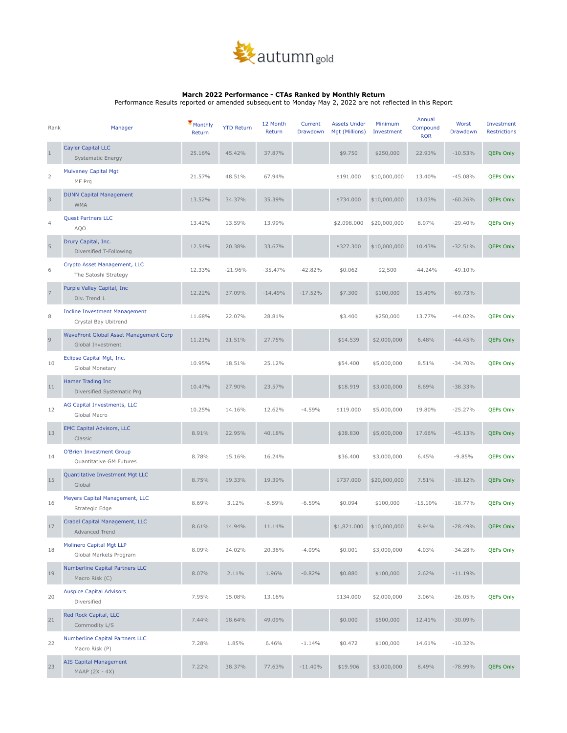

## **March 2022 Performance - CTAs Ranked by Monthly Return**

Performance Results reported or amended subsequent to Monday May 2, 2022 are not reflected in this Report

| Rank           | Manager                                                      | Monthly<br>Return | <b>YTD Return</b> | 12 Month<br>Return | Current<br>Drawdown | <b>Assets Under</b><br>Mgt (Millions) | Minimum<br>Investment | Annual<br>Compound<br><b>ROR</b> | Worst<br>Drawdown | Investment<br><b>Restrictions</b> |
|----------------|--------------------------------------------------------------|-------------------|-------------------|--------------------|---------------------|---------------------------------------|-----------------------|----------------------------------|-------------------|-----------------------------------|
| $\mathbf{1}$   | <b>Cayler Capital LLC</b><br>Systematic Energy               | 25.16%            | 45.42%            | 37.87%             |                     | \$9.750                               | \$250,000             | 22.93%                           | $-10.53%$         | <b>QEPs Only</b>                  |
| 2              | <b>Mulvaney Capital Mgt</b><br>MF Prg                        | 21.57%            | 48.51%            | 67.94%             |                     | \$191.000                             | \$10,000,000          | 13.40%                           | $-45.08%$         | <b>QEPs Only</b>                  |
| 3              | <b>DUNN Capital Management</b><br><b>WMA</b>                 | 13.52%            | 34.37%            | 35.39%             |                     | \$734.000                             | \$10,000,000          | 13.03%                           | $-60.26%$         | QEPs Only                         |
| $\overline{4}$ | <b>Quest Partners LLC</b><br>AQO                             | 13.42%            | 13.59%            | 13.99%             |                     | \$2,098.000                           | \$20,000,000          | 8.97%                            | $-29.40%$         | <b>QEPs Only</b>                  |
| $\sqrt{5}$     | Drury Capital, Inc.<br>Diversified T-Following               | 12.54%            | 20.38%            | 33.67%             |                     | \$327.300                             | \$10,000,000          | 10.43%                           | $-32.51%$         | <b>QEPs Only</b>                  |
| 6              | Crypto Asset Management, LLC<br>The Satoshi Strategy         | 12.33%            | $-21.96%$         | $-35.47%$          | $-42.82%$           | \$0.062                               | \$2,500               | $-44.24%$                        | $-49.10%$         |                                   |
| $\overline{7}$ | Purple Valley Capital, Inc.<br>Div. Trend 1                  | 12.22%            | 37.09%            | $-14.49%$          | $-17.52%$           | \$7.300                               | \$100,000             | 15.49%                           | $-69.73%$         |                                   |
| 8              | <b>Incline Investment Management</b><br>Crystal Bay Ubitrend | 11.68%            | 22.07%            | 28.81%             |                     | \$3.400                               | \$250,000             | 13.77%                           | $-44.02%$         | <b>QEPs Only</b>                  |
| $\mathsf{9}$   | WaveFront Global Asset Management Corp<br>Global Investment  | 11.21%            | 21.51%            | 27.75%             |                     | \$14.539                              | \$2,000,000           | 6.48%                            | $-44.45%$         | QEPs Only                         |
| 10             | Eclipse Capital Mgt, Inc.<br>Global Monetary                 | 10.95%            | 18.51%            | 25.12%             |                     | \$54.400                              | \$5,000,000           | 8.51%                            | $-34.70%$         | <b>QEPs Only</b>                  |
| 11             | Hamer Trading Inc<br>Diversified Systematic Prg              | 10.47%            | 27.90%            | 23.57%             |                     | \$18.919                              | \$3,000,000           | 8.69%                            | $-38.33%$         |                                   |
| 12             | AG Capital Investments, LLC<br>Global Macro                  | 10.25%            | 14.16%            | 12.62%             | $-4.59%$            | \$119.000                             | \$5,000,000           | 19.80%                           | $-25.27%$         | <b>QEPs Only</b>                  |
| 13             | <b>EMC Capital Advisors, LLC</b><br>Classic                  | 8.91%             | 22.95%            | 40.18%             |                     | \$38.830                              | \$5,000,000           | 17.66%                           | $-45.13%$         | QEPs Only                         |
| 14             | O'Brien Investment Group<br>Quantitative GM Futures          | 8.78%             | 15.16%            | 16.24%             |                     | \$36.400                              | \$3,000,000           | 6.45%                            | $-9.85%$          | <b>QEPs Only</b>                  |
| 15             | Quantitative Investment Mgt LLC<br>Global                    | 8.75%             | 19.33%            | 19.39%             |                     | \$737.000                             | \$20,000,000          | 7.51%                            | $-18.12%$         | <b>QEPs Only</b>                  |
| 16             | Meyers Capital Management, LLC<br>Strategic Edge             | 8.69%             | 3.12%             | $-6.59%$           | $-6.59%$            | \$0.094                               | \$100,000             | $-15.10%$                        | $-18.77%$         | QEPs Only                         |
| 17             | Crabel Capital Management, LLC<br>Advanced Trend             | 8.61%             | 14.94%            | 11.14%             |                     | \$1,821.000                           | \$10,000,000          | 9.94%                            | $-28.49%$         | <b>QEPs Only</b>                  |
| 18             | Molinero Capital Mgt LLP<br>Global Markets Program           | 8.09%             | 24.02%            | 20.36%             | $-4.09%$            | \$0.001                               | \$3,000,000           | 4.03%                            | $-34.28%$         | <b>QEPs Only</b>                  |
| 19             | <b>Numberline Capital Partners LLC</b><br>Macro Risk (C)     | 8.07%             | 2.11%             | 1.96%              | $-0.82%$            | \$0.880                               | \$100,000             | 2.62%                            | $-11.19%$         |                                   |
| 20             | <b>Auspice Capital Advisors</b><br>Diversified               | 7.95%             | 15.08%            | 13.16%             |                     | \$134.000                             | \$2,000,000           | 3.06%                            | $-26.05%$         | <b>QEPs Only</b>                  |
| $21\,$         | Red Rock Capital, LLC<br>Commodity L/S                       | 7.44%             | 18.64%            | 49.09%             |                     | \$0.000                               | \$500,000             | 12.41%                           | $-30.09%$         |                                   |
| 22             | <b>Numberline Capital Partners LLC</b><br>Macro Risk (P)     | 7.28%             | 1.85%             | 6.46%              | $-1.14%$            | \$0.472                               | \$100,000             | 14.61%                           | $-10.32%$         |                                   |
| 23             | <b>AIS Capital Management</b><br>MAAP (2X - 4X)              | 7.22%             | 38.37%            | 77.63%             | $-11.40%$           | \$19.906                              | \$3,000,000           | 8.49%                            | $-78.99%$         | QEPs Only                         |